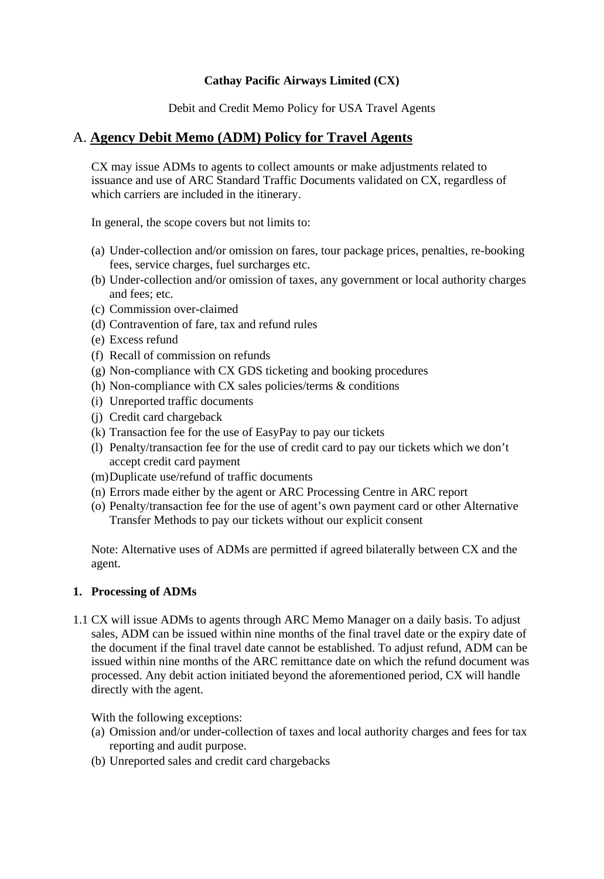### **Cathay Pacific Airways Limited (CX)**

Debit and Credit Memo Policy for USA Travel Agents

## A. **Agency Debit Memo (ADM) Policy for Travel Agents**

CX may issue ADMs to agents to collect amounts or make adjustments related to issuance and use of ARC Standard Traffic Documents validated on CX, regardless of which carriers are included in the itinerary.

In general, the scope covers but not limits to:

- (a) Under-collection and/or omission on fares, tour package prices, penalties, re-booking fees, service charges, fuel surcharges etc.
- (b) Under-collection and/or omission of taxes, any government or local authority charges and fees; etc.
- (c) Commission over-claimed
- (d) Contravention of fare, tax and refund rules
- (e) Excess refund
- (f) Recall of commission on refunds
- (g) Non-compliance with CX GDS ticketing and booking procedures
- (h) Non-compliance with CX sales policies/terms & conditions
- (i) Unreported traffic documents
- (j) Credit card chargeback
- (k) Transaction fee for the use of EasyPay to pay our tickets
- (l) Penalty/transaction fee for the use of credit card to pay our tickets which we don't accept credit card payment
- (m)Duplicate use/refund of traffic documents
- (n) Errors made either by the agent or ARC Processing Centre in ARC report
- (o) Penalty/transaction fee for the use of agent's own payment card or other Alternative Transfer Methods to pay our tickets without our explicit consent

Note: Alternative uses of ADMs are permitted if agreed bilaterally between CX and the agent.

### **1. Processing of ADMs**

1.1 CX will issue ADMs to agents through ARC Memo Manager on a daily basis. To adjust sales, ADM can be issued within nine months of the final travel date or the expiry date of the document if the final travel date cannot be established. To adjust refund, ADM can be issued within nine months of the ARC remittance date on which the refund document was processed. Any debit action initiated beyond the aforementioned period, CX will handle directly with the agent.

With the following exceptions:

- (a) Omission and/or under-collection of taxes and local authority charges and fees for tax reporting and audit purpose.
- (b) Unreported sales and credit card chargebacks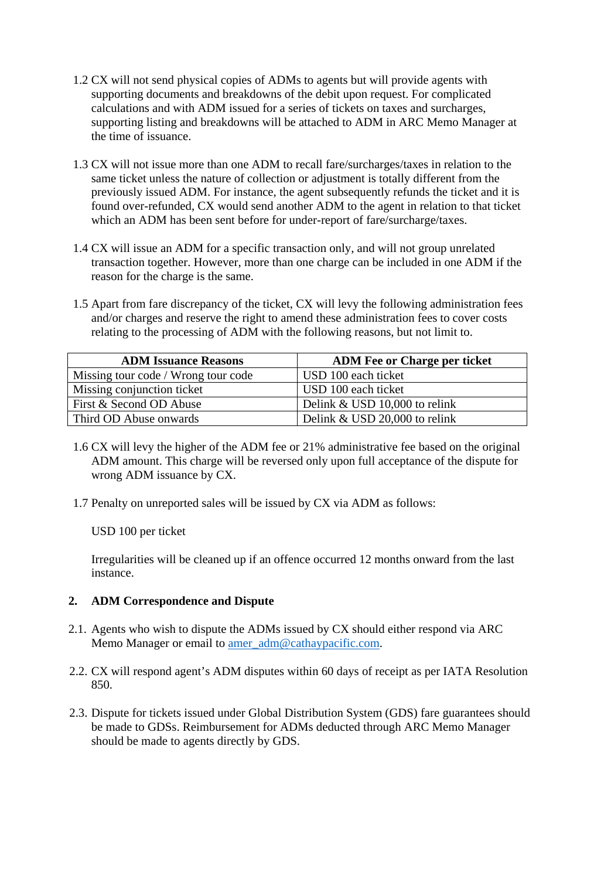- 1.2 CX will not send physical copies of ADMs to agents but will provide agents with supporting documents and breakdowns of the debit upon request. For complicated calculations and with ADM issued for a series of tickets on taxes and surcharges, supporting listing and breakdowns will be attached to ADM in ARC Memo Manager at the time of issuance.
- 1.3 CX will not issue more than one ADM to recall fare/surcharges/taxes in relation to the same ticket unless the nature of collection or adjustment is totally different from the previously issued ADM. For instance, the agent subsequently refunds the ticket and it is found over-refunded, CX would send another ADM to the agent in relation to that ticket which an ADM has been sent before for under-report of fare/surcharge/taxes.
- 1.4 CX will issue an ADM for a specific transaction only, and will not group unrelated transaction together. However, more than one charge can be included in one ADM if the reason for the charge is the same.
- 1.5 Apart from fare discrepancy of the ticket, CX will levy the following administration fees and/or charges and reserve the right to amend these administration fees to cover costs relating to the processing of ADM with the following reasons, but not limit to.

| <b>ADM Issuance Reasons</b>         | <b>ADM</b> Fee or Charge per ticket |
|-------------------------------------|-------------------------------------|
| Missing tour code / Wrong tour code | USD 100 each ticket                 |
| Missing conjunction ticket          | USD 100 each ticket                 |
| First & Second OD Abuse             | Delink & USD 10,000 to relink       |
| Third OD Abuse onwards              | Delink & USD 20,000 to relink       |

- 1.6 CX will levy the higher of the ADM fee or 21% administrative fee based on the original ADM amount. This charge will be reversed only upon full acceptance of the dispute for wrong ADM issuance by CX.
- 1.7 Penalty on unreported sales will be issued by CX via ADM as follows:

USD 100 per ticket

Irregularities will be cleaned up if an offence occurred 12 months onward from the last instance.

## **2. ADM Correspondence and Dispute**

- 2.1. Agents who wish to dispute the ADMs issued by CX should either respond via ARC Memo Manager or email to amer\_adm@cathaypacific.com.
- 2.2. CX will respond agent's ADM disputes within 60 days of receipt as per IATA Resolution 850.
- 2.3. Dispute for tickets issued under Global Distribution System (GDS) fare guarantees should be made to GDSs. Reimbursement for ADMs deducted through ARC Memo Manager should be made to agents directly by GDS.